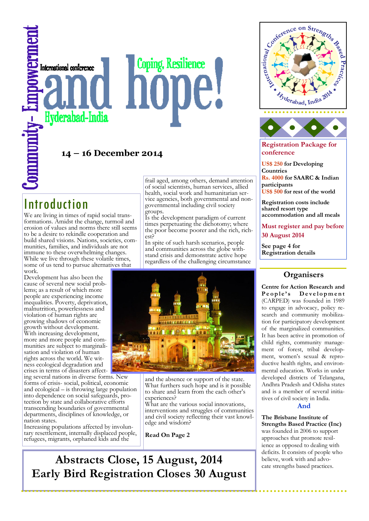# **Coping, Resilience** International conference Hyderabad-India

# **14 – 16 December 2014**

# Introduction

We are living in times of rapid social transformations. Amidst the change, turmoil and erosion of values and norms there still seems to be a desire to rekindle cooperation and build shared visions. Nations, societies, communities, families, and individuals are not immune to these overwhelming changes. While we live through these volatile times, some of us tend to pursue alternatives that work.

Development has also been the cause of several new social problems; as a result of which more people are experiencing income inequalities. Poverty, deprivation, malnutrition, powerlessness and violation of human rights are growing shadows of economic growth without development. With increasing development, more and more people and communities are subject to marginalisation and violation of human rights across the world. We witness ecological degradation and crises in terms of disasters affect-

ing several nations in diverse forms. New forms of crisis- social, political, economic and ecological – is throwing large population into dependence on social safeguards, protection by state and collaborative efforts transcending boundaries of governmental departments, disciplines of knowledge, or nation states.

Increasing populations affected by involuntary resettlement, internally displaced people, refugees, migrants, orphaned kids and the

frail aged, among others, demand attention of social scientists, human services, allied health, social work and humanitarian service agencies, both governmental and nongovernmental including civil society groups.

Is the development paradigm of current times perpetuating the dichotomy; where the poor become poorer and the rich, richest?

In spite of such harsh scenarios, people and communities across the globe withstand crisis and demonstrate active hope regardless of the challenging circumstance



and the absence or support of the state. What furthers such hope and is it possible to share and learn from the each other's experiences?

What are the various social innovations, interventions and struggles of communities and civil society reflecting their vast knowledge and wisdom?

**Read On Page 2**





**Registration Package for conference**

**US\$ 250 for Developing Countries Rs. 4000 for SAARC & Indian participants US\$ 500 for rest of the world**

**Registration costs include shared resort type** 

**accommodation and all meals**

**Must register and pay before 30 August 2014**

**See page 4 for Registration details**

# **Organisers**

**Centre for Action Research and**  People's Development (CARPED) was founded in 1989 to engage in advocacy, policy research and community mobilization for participatory development of the marginalized communities. It has been active in promotion of child rights, community management of forest, tribal development, women's sexual & reproductive health rights, and environmental education. Works in under developed districts of Telangana, Andhra Pradesh and Odisha states and is a member of several initiatives of civil society in India.

# **And**

**The Brisbane Institute of Strengths Based Practice (Inc)** was founded in 2006 to support approaches that promote resilience as opposed to dealing with deficits. It consists of people who

believe, work with and advocate strengths based practices.

# **Abstracts Close, 15 August, 2014 Early Bird Registration Closes 30 August**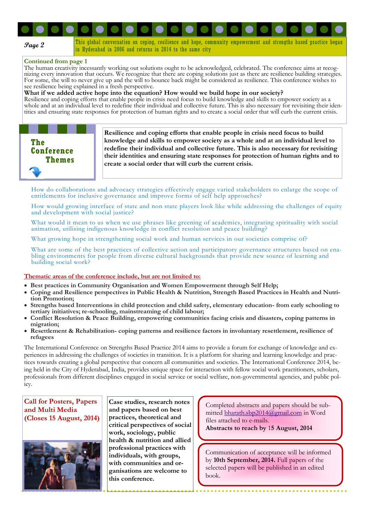

This global conversation on coping, resilience and hope, community empowerment and strengths based practice began in Hyderabad in 2006 and returns in 2014 to the same city

#### **Continued from page 1**

The human creativity incessantly working out solutions ought to be acknowledged, celebrated. The conference aims at recognizing every innovation that occurs. We recognize that there are coping solutions just as there are resilience building strategies. For some, the will to never give up and the will to bounce back might be considered as resilience. This conference wishes to see resilience being explained in a fresh perspective.

**What if we added active hope into the equation? How would we build hope in our society?**

Resilience and coping efforts that enable people in crisis need focus to build knowledge and skills to empower society as a whole and at an individual level to redefine their individual and collective future. This is also necessary for revisiting their identities and ensuring state responses for protection of human rights and to create a social order that will curb the current crisis.



**Resilience and coping efforts that enable people in crisis need focus to build knowledge and skills to empower society as a whole and at an individual level to redefine their individual and collective future. This is also necessary for revisiting their identities and ensuring state responses for protection of human rights and to create a social order that will curb the current crisis.** 

How do collaborations and advocacy strategies effectively engage varied stakeholders to enlarge the scope of entitlements for inclusive governance and improve forms of self help approaches?

How would growing interface of state and non state players look like while addressing the challenges of equity and development with social justice?

What would it mean to us when we use phrases like greening of academics, integrating spirituality with social animation, utilising indigenous knowledge in conflict resolution and peace building?

What growing hope in strengthening social work and human services in our societies comprise of?

What are some of the best practices of collective action and participatory governance structures based on enabling environments for people from diverse cultural backgrounds that provide new source of learning and building social work?

#### **Thematic areas of the conference include, but are not limited to:**

- **Best practices in Community Organisation and Women Empowerment through Self Help;**
- **Coping and Resilience perspectives in Public Health & Nutrition, Strength Based Practices in Health and Nutrition Promotion;**
- **Strengths based Interventions in child protection and child safety, elementary education- from early schooling to tertiary initiatives; re-schooling, mainstreaming of child labour;**
- **Conflict Resolution & Peace Building, empowering communities facing crisis and disasters, coping patterns in migration;**
- **Resettlement & Rehabilitation- coping patterns and resilience factors in involuntary resettlement, resilience of refugees**

The International Conference on Strengths Based Practice 2014 aims to provide a forum for exchange of knowledge and experiences in addressing the challenges of societies in transition. It is a platform for sharing and learning knowledge and practices towards creating a global perspective that concern all communities and societies. The International Conference 2014, being held in the City of Hyderabad, India, provides unique space for interaction with fellow social work practitioners, scholars, professionals from different disciplines engaged in social service or social welfare, non-governmental agencies, and public policy.

#### **Call for Posters, Papers and Multi Media (Closes 15 August, 2014)**



**Case studies, research notes and papers based on best practices, theoretical and critical perspectives of social work, sociology, public health & nutrition and allied professional practices with individuals, with groups, with communities and organisations are welcome to this conference.** 

Completed abstracts and papers should be submitted [bharath.sbp2014@gmail.com](mailto:bharath.sbp2014@gmail.com) in Word files attached to e-mails. **Abstracts to reach by** 1**5 August, 2014**

Communication of acceptance will be informed by **10th September, 2014.** Full papers of the selected papers will be published in an edited book.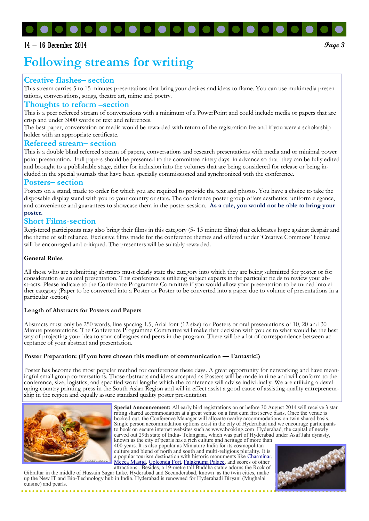# $14 - 16$  December 2014  $\theta$

# **Following streams for writing**

# **Creative flashes– section**

This stream carries 5 to 15 minutes presentations that bring your desires and ideas to flame. You can use multimedia presentations, conversations, songs, theatre art, mime and poetry.

#### **Thoughts to reform** –**section**

This is a peer refereed stream of conversations with a minimum of a PowerPoint and could include media or papers that are crisp and under 3000 words of text and references.

The best paper, conversation or media would be rewarded with return of the registration fee and if you were a scholarship holder with an appropriate certificate.

#### **Refereed stream– section**

This is a double blind refereed stream of papers, conversations and research presentations with media and or minimal power point presentation. Full papers should be presented to the committee ninety days in advance so that they can be fully edited and brought to a publishable stage, either for inclusion into the volumes that are being considered for release or being included in the special journals that have been specially commissioned and synchronized with the conference.

#### **Posters– section**

Posters on a stand, made to order for which you are required to provide the text and photos. You have a choice to take the disposable display stand with you to your country or state. The conference poster group offers aesthetics, uniform elegance, and convenience and guarantees to showcase them in the poster session. **As a rule, you would not be able to bring your poster.**

## **Short Films-section**

Registered participants may also bring their films in this category (5- 15 minute films) that celebrates hope against despair and the theme of self reliance. Exclusive films made for the conference themes and offered under 'Creative Commons' license will be encouraged and critiqued. The presenters will be suitably rewarded.

#### **General Rules**

All those who are submitting abstracts must clearly state the category into which they are being submitted for poster or for consideration as an oral presentation. This conference is utilizing subject experts in the particular fields to review your abstracts. Please indicate to the Conference Programme Committee if you would allow your presentation to be turned into either category (Paper to be converted into a Poster or Poster to be converted into a paper due to volume of presentations in a particular section)

#### **Length of Abstracts for Posters and Papers**

Abstracts must only be 250 words, line spacing 1.5, Arial font (12 size) for Posters or oral presentations of 10, 20 and 30 Minute presentations. The Conference Programme Committee will make that decision with you as to what would be the best way of projecting your idea to your colleagues and peers in the program. There will be a lot of correspondence between acceptance of your abstract and presentation.

#### **Poster Preparation: (If you have chosen this medium of communication — Fantastic!)**

Poster has become the most popular method for conferences these days. A great opportunity for networking and have meaningful small group conversations. Those abstracts and ideas accepted as Posters will be made in time and will conform to the conference, size, logistics, and specified word lengths which the conference will advise individually. We are utilizing a developing country printing press in the South Asian Region and will in effect assist a good cause of assisting quality entrepreneurship in the region and equally assure standard quality poster presentation.



**Special Announcement:** All early bird registrations on or before 30 August 2014 will receive 3 star rating shared accommodation at a great venue on a first cum first serve basis. Once the venue is booked out, the Conference Manager will allocate nearby accommodations on twin shared basis. Single person accommodation options exist in the city of Hyderabad and we encourage participants to book on secure internet websites such as www.booking.com Hyderabad, the capital of newly carved out 29th state of India- Telangana, which was part of Hyderabad under Asaf Jahi dynasty,

known as the city of pearls has a rich culture and heritage of more than 400 years. It is also popular as Miniature India for its cosmopolitan culture and blend of north and south and multi-religious plurality. It is a popular tourism destination with historic monuments like [Charminar,](http://www.hyd.co.in/charminar/) [Mecca Masjid,](https://www.youtube.com/watch?v=Gx61TZr2wzc) [Golconda Fort,](http://www.hyd.co.in/golconda-fort/) [Falaknuma Palace,](http://www.hyd.co.in/falaknuma-palace/) and scores of other

attractions.. Besides, a 19-metre tall Buddha statue adorns the Rock of Gibraltar in the middle of Hussain Sagar Lake. Hyderabad and Secunderabad, known as the twin cities, make up the New IT and Bio-Technology hub in India. Hyderabad is renowned for Hyderabadi Biryani (Mughalai cuisine) and pearls.

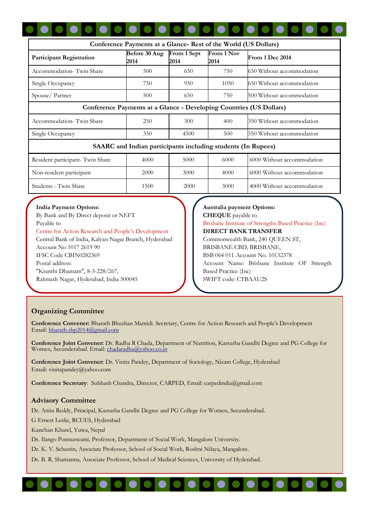| Conference Payments at a Glance- Rest of the World (US Dollars)     |                       |                     |                    |                            |  |  |  |
|---------------------------------------------------------------------|-----------------------|---------------------|--------------------|----------------------------|--|--|--|
| <b>Participant Registration</b>                                     | Before 30 Aug<br>2014 | From 1 Sept<br>2014 | From 1 Nov<br>2014 | From 1 Dec 2014            |  |  |  |
| Accommodation-Twin Share                                            | 500                   | 650                 | 750                | 650 Without accommodation  |  |  |  |
| Single Occupancy                                                    | 750                   | 950                 | 1050               | 650 Without accommodation  |  |  |  |
| Spouse/Partner                                                      | 500                   | 650                 | 750                | 500 Without accommodation  |  |  |  |
| Conference Payments at a Glance - Developing Countries (US Dollars) |                       |                     |                    |                            |  |  |  |
| Accommodation-Twin Share                                            | 250                   | 300                 | 400                | 350 Without accommodation  |  |  |  |
| Single Occupancy                                                    | 350                   | 4500                | 500                | 350 Without accommodation  |  |  |  |
| <b>SAARC</b> and Indian participants including students (In Rupees) |                       |                     |                    |                            |  |  |  |
| Resident participant- Twin Share                                    | 4000                  | 5000                | 6000               | 6000 Without accommodation |  |  |  |
| Non-resident participant                                            | 2000                  | 3000                | 4000               | 6000 Without accommodation |  |  |  |
| Students - Twin Share                                               | 1500                  | 2000                | 3000               | 4000 Without accommodation |  |  |  |

#### **India Payment Options:**

By Bank and By Direct deposit or NEFT Payable to Centre for Action Research and People's Development Central Bank of India, Kalyan Nagar Branch, Hyderabad Account No 1017 2619 90 IFSC Code CBIN0282369 Postal address: "Kranthi Dhamam", 8-3-228/267, Rahmath Nagar, Hyderabad, India 500045

## **Australia payment Options: CHEQUE** payable to Brisbane Institute of Strengths Based Practice (Inc) **DIRECT BANK TRANSFER** Commonwealth Bank, 240 QUEEN ST, BRISBANE CBD, BRISBANE, BSB 064 011 Account No. 10132378 Account Name: Brisbane Institute OF Strength Based Practice (Inc) SWIFT code: CTBAAU2S

# **Organizing Committee**

**Conference Convener:** Bharath Bhushan Mamidi. Secretary, Centre for Action Research and People's Development Email: [bharath.sbp2014@gmail.com](mailto:bharath.sbp2014@gmail.com)

**Conference Joint Convener:** Dr. Radha R Chada, Department of Nutrition, Kasturba Gandhi Degree and PG College for Women, Secunderabad. Email: [chadaradha@yahoo.co.in](mailto:chadaradha@yahoo.co.in)

**Conference Joint Convener:** Dr. Vinita Pandey, Department of Sociology, Nizam College, Hyderabad Email: vinitapandey@yahoo.com

**Conference Secretary**: Subhash Chandra, Director, CARPED, Email: carpedindia@gmail.com

#### **Advisory Committee**

Dr. Anita Reddy, Principal, Kasturba Gandhi Degree and PG College for Women, Secunderabad.

G Ernest Leslie, RCUES, Hyderabad

Kanchan Kharel, Yuwa, Nepal

Dr. Ilango Ponnuswami, Professor, Department of Social Work, Mangalore University.

Dr. K. V. Sebastin, Associate Professor, School of Social Work, Roshni Nilaya, Mangalore.

Dr. B. R. Shamanna, Associate Professor, School of Medical Sciences, University of Hyderabad.

#### **. . . . . . . . . . .**